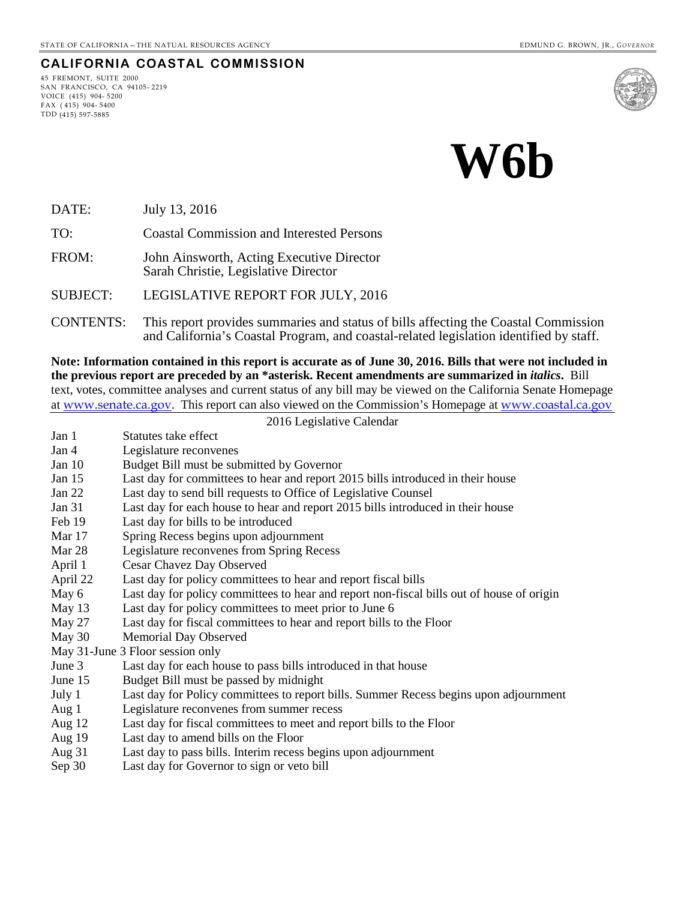#### **CALIFORNIA COASTAL COMMISSION**

45 FREMONT, SUITE 2000 SAN FRANCISCO, CA 94105- 2219 VOICE (415) 904- 5200  $FAX (415) 904 - 5400$ TDD (415) 597-5885





DATE: July 13, 2016

TO: Coastal Commission and Interested Persons

FROM: John Ainsworth, Acting Executive Director Sarah Christie, Legislative Director

SUBJECT: LEGISLATIVE REPORT FOR JULY, 2016

CONTENTS: This report provides summaries and status of bills affecting the Coastal Commission and California's Coastal Program, and coastal-related legislation identified by staff.

**Note: Information contained in this report is accurate as of June 30, 2016. Bills that were not included in the previous report are preceded by an \*asterisk. Recent amendments are summarized in** *italics***.** Bill text, votes, committee analyses and current status of any bill may be viewed on the California Senate Homepage at [www.senate.ca.gov](http://www.senate.ca.gov/). This report can also viewed on the Commission's Homepage at [www.coastal.ca.gov](http://www.coastal.ca.gov/) 2016 Legislative Calendar

| Jan 1    | Statutes take effect                                                                      |
|----------|-------------------------------------------------------------------------------------------|
| Jan 4    | Legislature reconvenes                                                                    |
| Jan 10   | Budget Bill must be submitted by Governor                                                 |
| Jan 15   | Last day for committees to hear and report 2015 bills introduced in their house           |
| Jan 22   | Last day to send bill requests to Office of Legislative Counsel                           |
| Jan 31   | Last day for each house to hear and report 2015 bills introduced in their house           |
| Feb 19   | Last day for bills to be introduced                                                       |
| Mar 17   | Spring Recess begins upon adjournment                                                     |
| Mar 28   | Legislature reconvenes from Spring Recess                                                 |
| April 1  | Cesar Chavez Day Observed                                                                 |
| April 22 | Last day for policy committees to hear and report fiscal bills                            |
| May 6    | Last day for policy committees to hear and report non-fiscal bills out of house of origin |
| May 13   | Last day for policy committees to meet prior to June 6                                    |
| May 27   | Last day for fiscal committees to hear and report bills to the Floor                      |
| May 30   | <b>Memorial Day Observed</b>                                                              |
|          | May 31-June 3 Floor session only                                                          |
| June 3   | Last day for each house to pass bills introduced in that house                            |
| June 15  | Budget Bill must be passed by midnight                                                    |
| July 1   | Last day for Policy committees to report bills. Summer Recess begins upon adjournment     |
| Aug 1    | Legislature reconvenes from summer recess                                                 |
| Aug 12   | Last day for fiscal committees to meet and report bills to the Floor                      |
| Aug 19   | Last day to amend bills on the Floor                                                      |
| Aug 31   | Last day to pass bills. Interim recess begins upon adjournment                            |
| Sep 30   | Last day for Governor to sign or veto bill                                                |
|          |                                                                                           |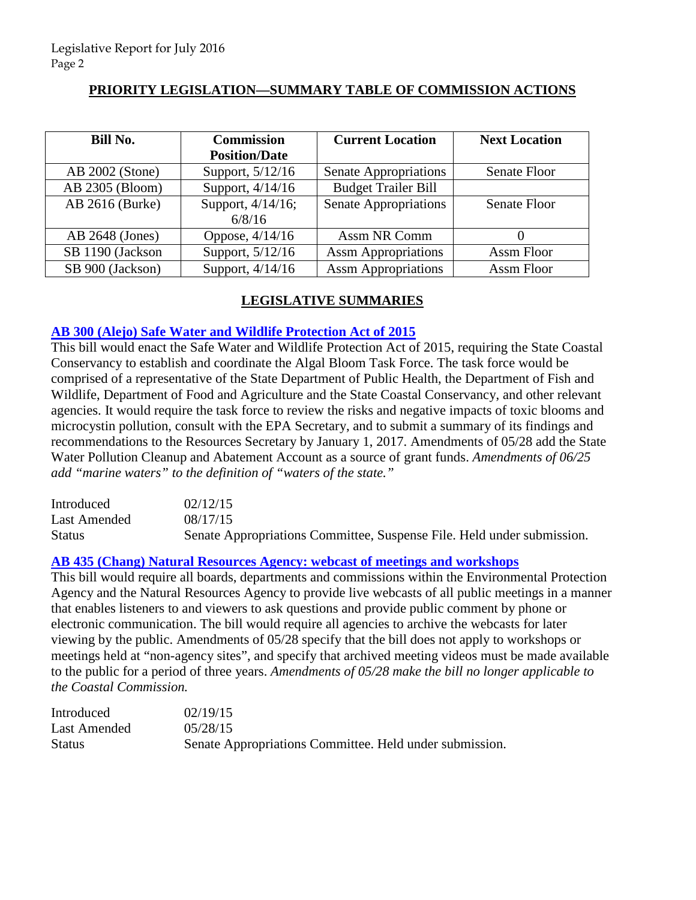# **PRIORITY LEGISLATION—SUMMARY TABLE OF COMMISSION ACTIONS**

| Bill No.         | <b>Commission</b>    | <b>Current Location</b>      | <b>Next Location</b> |
|------------------|----------------------|------------------------------|----------------------|
|                  | <b>Position/Date</b> |                              |                      |
| AB 2002 (Stone)  | Support, 5/12/16     | Senate Appropriations        | Senate Floor         |
| AB 2305 (Bloom)  | Support, 4/14/16     | <b>Budget Trailer Bill</b>   |                      |
| AB 2616 (Burke)  | Support, 4/14/16;    | <b>Senate Appropriations</b> | <b>Senate Floor</b>  |
|                  | 6/8/16               |                              |                      |
| AB 2648 (Jones)  | Oppose, $4/14/16$    | Assm NR Comm                 |                      |
| SB 1190 (Jackson | Support, 5/12/16     | <b>Assm Appropriations</b>   | Assm Floor           |
| SB 900 (Jackson) | Support, 4/14/16     | <b>Assm Appropriations</b>   | Assm Floor           |

# **LEGISLATIVE SUMMARIES**

# **[AB 300 \(Alejo\) Safe Water and Wildlife Protection Act of 2015](http://www.leginfo.ca.gov/pub/15-16/bill/asm/ab_0251-0300/ab_300_bill_20150817_amended_sen_v93.htm)**

This bill would enact the Safe Water and Wildlife Protection Act of 2015, requiring the State Coastal Conservancy to establish and coordinate the Algal Bloom Task Force. The task force would be comprised of a representative of the State Department of Public Health, the Department of Fish and Wildlife, Department of Food and Agriculture and the State Coastal Conservancy, and other relevant agencies. It would require the task force to review the risks and negative impacts of toxic blooms and microcystin pollution, consult with the EPA Secretary, and to submit a summary of its findings and recommendations to the Resources Secretary by January 1, 2017. Amendments of 05/28 add the State Water Pollution Cleanup and Abatement Account as a source of grant funds. *Amendments of 06/25 add "marine waters" to the definition of "waters of the state."* 

| Introduced    | 02/12/15                                                               |
|---------------|------------------------------------------------------------------------|
| Last Amended  | 08/17/15                                                               |
| <b>Status</b> | Senate Appropriations Committee, Suspense File. Held under submission. |

# **[AB 435 \(Chang\) Natural Resources Agency: webcast of meetings and workshops](http://www.leginfo.ca.gov/pub/15-16/bill/asm/ab_0401-0450/ab_435_bill_20150818_amended_sen_v95.htm)**

This bill would require all boards, departments and commissions within the Environmental Protection Agency and the Natural Resources Agency to provide live webcasts of all public meetings in a manner that enables listeners to and viewers to ask questions and provide public comment by phone or electronic communication. The bill would require all agencies to archive the webcasts for later viewing by the public. Amendments of 05/28 specify that the bill does not apply to workshops or meetings held at "non-agency sites", and specify that archived meeting videos must be made available to the public for a period of three years. *Amendments of 05/28 make the bill no longer applicable to the Coastal Commission.* 

| Introduced    | 02/19/15                                                |
|---------------|---------------------------------------------------------|
| Last Amended  | 0.5/28/15                                               |
| <b>Status</b> | Senate Appropriations Committee. Held under submission. |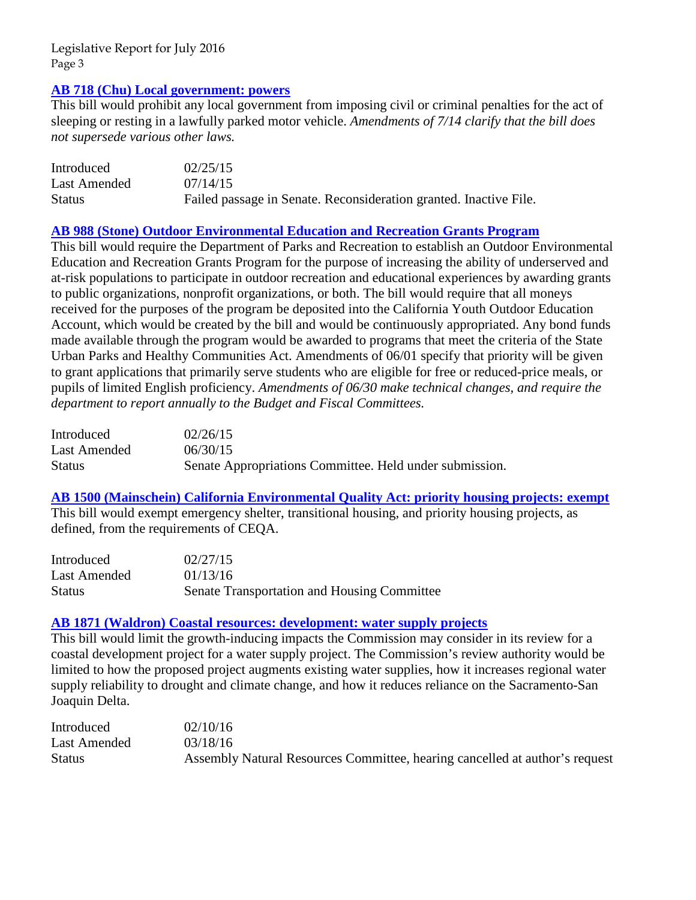## **[AB 718 \(Chu\) Local government: powers](http://www.leginfo.ca.gov/pub/15-16/bill/asm/ab_0701-0750/ab_718_bill_20150714_amended_sen_v95.htm)**

This bill would prohibit any local government from imposing civil or criminal penalties for the act of sleeping or resting in a lawfully parked motor vehicle. *Amendments of 7/14 clarify that the bill does not supersede various other laws.* 

| Introduced    | 02/25/15                                                          |
|---------------|-------------------------------------------------------------------|
| Last Amended  | 07/14/15                                                          |
| <b>Status</b> | Failed passage in Senate. Reconsideration granted. Inactive File. |

# **[AB 988 \(Stone\) Outdoor Environmental Education and Recreation Grants Program](http://www.leginfo.ca.gov/pub/15-16/bill/asm/ab_0951-1000/ab_988_bill_20150630_amended_sen_v96.htm)**

This bill would require the Department of Parks and Recreation to establish an Outdoor Environmental Education and Recreation Grants Program for the purpose of increasing the ability of underserved and at-risk populations to participate in outdoor recreation and educational experiences by awarding grants to public organizations, nonprofit organizations, or both. The bill would require that all moneys received for the purposes of the program be deposited into the California Youth Outdoor Education Account, which would be created by the bill and would be continuously appropriated. Any bond funds made available through the program would be awarded to programs that meet the criteria of the State Urban Parks and Healthy Communities Act. Amendments of 06/01 specify that priority will be given to grant applications that primarily serve students who are eligible for free or reduced-price meals, or pupils of limited English proficiency. *Amendments of 06/30 make technical changes, and require the department to report annually to the Budget and Fiscal Committees.* 

| Introduced   | 02/26/15                                                |
|--------------|---------------------------------------------------------|
| Last Amended | 06/30/15                                                |
| Status       | Senate Appropriations Committee. Held under submission. |

# **[AB 1500 \(Mainschein\) California Environmental Quality Act: priority housing projects:](http://www.leginfo.ca.gov/pub/15-16/bill/asm/ab_1451-1500/ab_1500_bill_20160113_amended_asm_v96.htm) exempt**

This bill would exempt emergency shelter, transitional housing, and priority housing projects, as defined, from the requirements of CEQA.

| Introduced    | 02/27/15                                    |
|---------------|---------------------------------------------|
| Last Amended  | 01/13/16                                    |
| <b>Status</b> | Senate Transportation and Housing Committee |

# **[AB 1871 \(Waldron\) Coastal resources: development: water supply projects](http://www.leginfo.ca.gov/pub/15-16/bill/asm/ab_1851-1900/ab_1871_bill_20160318_amended_asm_v98.htm)**

This bill would limit the growth-inducing impacts the Commission may consider in its review for a coastal development project for a water supply project. The Commission's review authority would be limited to how the proposed project augments existing water supplies, how it increases regional water supply reliability to drought and climate change, and how it reduces reliance on the Sacramento-San Joaquin Delta.

| Introduced    | 02/10/16                                                                    |
|---------------|-----------------------------------------------------------------------------|
| Last Amended  | 03/18/16                                                                    |
| <b>Status</b> | Assembly Natural Resources Committee, hearing cancelled at author's request |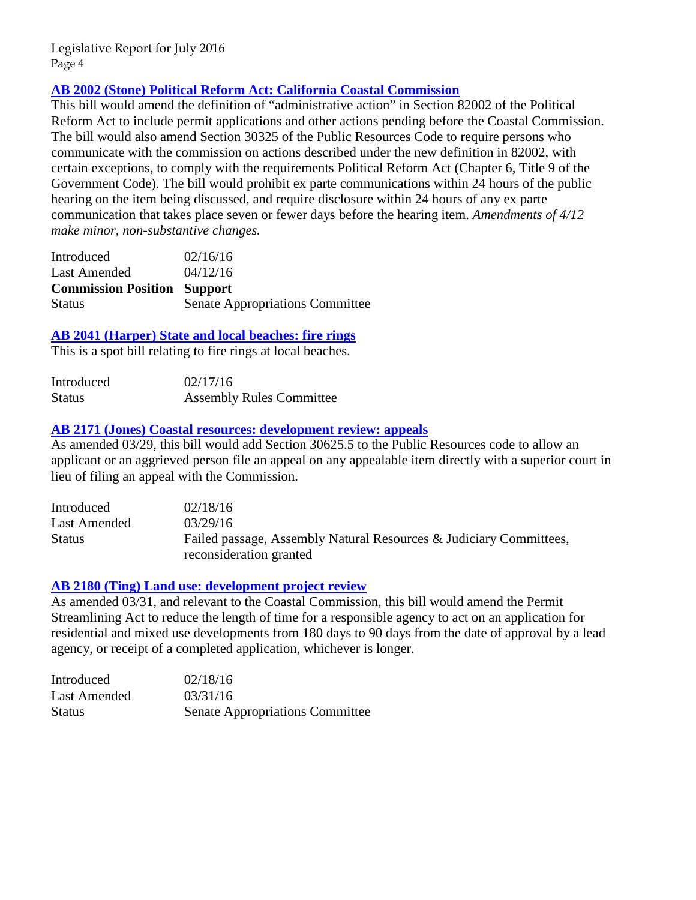# **[AB 2002 \(Stone\) Political Reform Act: California Coastal Commission](http://www.leginfo.ca.gov/pub/15-16/bill/asm/ab_2001-2050/ab_2002_bill_20160412_amended_asm_v97.htm)**

This bill would amend the definition of "administrative action" in Section 82002 of the Political Reform Act to include permit applications and other actions pending before the Coastal Commission. The bill would also amend Section 30325 of the Public Resources Code to require persons who communicate with the commission on actions described under the new definition in 82002, with certain exceptions, to comply with the requirements Political Reform Act (Chapter 6, Title 9 of the Government Code). The bill would prohibit ex parte communications within 24 hours of the public hearing on the item being discussed, and require disclosure within 24 hours of any ex parte communication that takes place seven or fewer days before the hearing item. *Amendments of 4/12 make minor, non-substantive changes.* 

| Introduced                         | 02/16/16                               |
|------------------------------------|----------------------------------------|
| Last Amended                       | 04/12/16                               |
| <b>Commission Position Support</b> |                                        |
| <b>Status</b>                      | <b>Senate Appropriations Committee</b> |

# **[AB 2041 \(Harper\) State and local beaches: fire rings](http://www.leginfo.ca.gov/pub/15-16/bill/asm/ab_2001-2050/ab_2041_bill_20160217_introduced.htm)**

This is a spot bill relating to fire rings at local beaches.

| Introduced    | 02/17/16                        |
|---------------|---------------------------------|
| <b>Status</b> | <b>Assembly Rules Committee</b> |

#### **[AB 2171 \(Jones\) Coastal resources: development review: appeals](http://www.leginfo.ca.gov/pub/15-16/bill/asm/ab_2151-2200/ab_2171_bill_20160329_amended_asm_v98.pdf)**

As amended 03/29, this bill would add Section 30625.5 to the Public Resources code to allow an applicant or an aggrieved person file an appeal on any appealable item directly with a superior court in lieu of filing an appeal with the Commission.

| Introduced    | 02/18/16                                                           |
|---------------|--------------------------------------------------------------------|
| Last Amended  | 03/29/16                                                           |
| <b>Status</b> | Failed passage, Assembly Natural Resources & Judiciary Committees, |
|               | reconsideration granted                                            |

# **[AB 2180 \(Ting\) Land use: development project review](http://www.leginfo.ca.gov/pub/15-16/bill/asm/ab_2151-2200/ab_2180_bill_20160331_amended_asm_v98.htm)**

As amended 03/31, and relevant to the Coastal Commission, this bill would amend the Permit Streamlining Act to reduce the length of time for a responsible agency to act on an application for residential and mixed use developments from 180 days to 90 days from the date of approval by a lead agency, or receipt of a completed application, whichever is longer.

| Introduced    | 02/18/16                               |
|---------------|----------------------------------------|
| Last Amended  | 03/31/16                               |
| <b>Status</b> | <b>Senate Appropriations Committee</b> |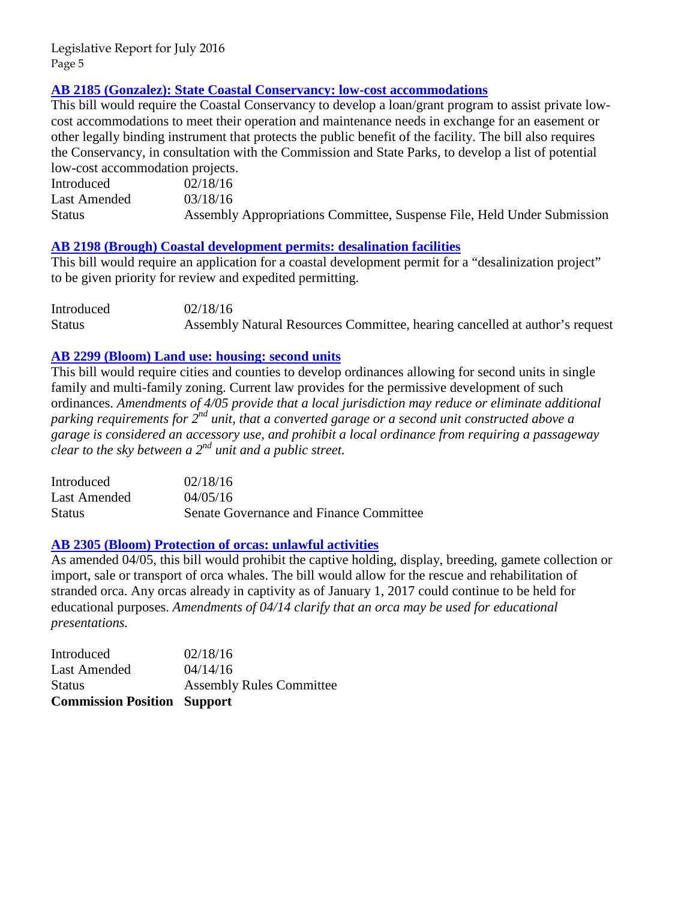# **[AB 2185 \(Gonzalez\): State Coastal Conservancy: low-cost accommodations](http://www.leginfo.ca.gov/pub/15-16/bill/asm/ab_2151-2200/ab_2185_bill_20160318_amended_asm_v98.htm)**

This bill would require the Coastal Conservancy to develop a loan/grant program to assist private lowcost accommodations to meet their operation and maintenance needs in exchange for an easement or other legally binding instrument that protects the public benefit of the facility. The bill also requires the Conservancy, in consultation with the Commission and State Parks, to develop a list of potential low-cost accommodation projects.

| Introduced    | 02/18/16                                                                |
|---------------|-------------------------------------------------------------------------|
| Last Amended  | 03/18/16                                                                |
| <b>Status</b> | Assembly Appropriations Committee, Suspense File, Held Under Submission |

# **[AB 2198 \(Brough\) Coastal development permits: desalination facilities](http://www.leginfo.ca.gov/pub/15-16/bill/asm/ab_2151-2200/ab_2198_bill_20160218_introduced.pdf)**

This bill would require an application for a coastal development permit for a "desalinization project" to be given priority for review and expedited permitting.

| Introduced    | 02/18/16                                                                    |
|---------------|-----------------------------------------------------------------------------|
| <b>Status</b> | Assembly Natural Resources Committee, hearing cancelled at author's request |

# **[AB 2299 \(Bloom\) Land use: housing: second units](http://www.leginfo.ca.gov/pub/15-16/bill/asm/ab_2251-2300/ab_2299_bill_20160405_amended_asm_v98.htm)**

This bill would require cities and counties to develop ordinances allowing for second units in single family and multi-family zoning. Current law provides for the permissive development of such ordinances. *Amendments of 4/05 provide that a local jurisdiction may reduce or eliminate additional parking requirements for 2nd unit, that a converted garage or a second unit constructed above a garage is considered an accessory use, and prohibit a local ordinance from requiring a passageway clear to the sky between a 2nd unit and a public street.* 

| Introduced    | 02/18/16                                |
|---------------|-----------------------------------------|
| Last Amended  | 04/05/16                                |
| <b>Status</b> | Senate Governance and Finance Committee |

# **[AB 2305 \(Bloom\) Protection of orcas: unlawful activities](http://www.leginfo.ca.gov/pub/15-16/bill/asm/ab_2301-2350/ab_2305_bill_20160414_amended_asm_v96.htm)**

As amended 04/05, this bill would prohibit the captive holding, display, breeding, gamete collection or import, sale or transport of orca whales. The bill would allow for the rescue and rehabilitation of stranded orca. Any orcas already in captivity as of January 1, 2017 could continue to be held for educational purposes. *Amendments of 04/14 clarify that an orca may be used for educational presentations.* 

| <b>Commission Position Support</b> |                                 |
|------------------------------------|---------------------------------|
| <b>Status</b>                      | <b>Assembly Rules Committee</b> |
| Last Amended                       | 04/14/16                        |
| Introduced                         | 02/18/16                        |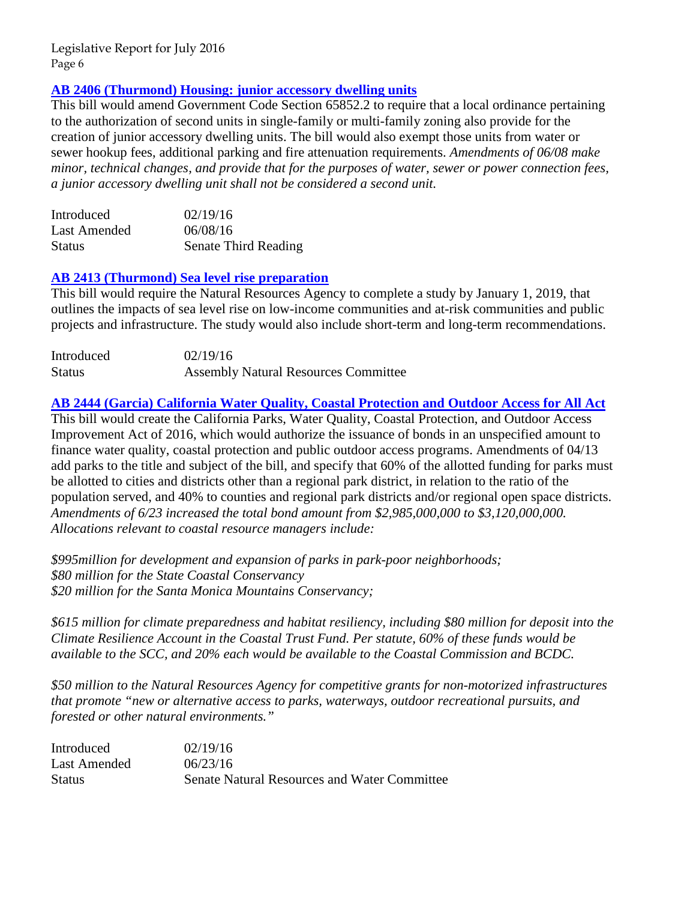# **[AB 2406 \(Thurmond\) Housing: junior accessory dwelling units](http://www.leginfo.ca.gov/pub/15-16/bill/asm/ab_2401-2450/ab_2406_bill_20160608_amended_sen_v96.htm)**

This bill would amend Government Code Section 65852.2 to require that a local ordinance pertaining to the authorization of second units in single-family or multi-family zoning also provide for the creation of junior accessory dwelling units. The bill would also exempt those units from water or sewer hookup fees, additional parking and fire attenuation requirements. *Amendments of 06/08 make minor, technical changes, and provide that for the purposes of water, sewer or power connection fees, a junior accessory dwelling unit shall not be considered a second unit.* 

| Introduced    | 02/19/16             |
|---------------|----------------------|
| Last Amended  | 06/08/16             |
| <b>Status</b> | Senate Third Reading |

# **[AB 2413 \(Thurmond\) Sea level rise preparation](http://www.leginfo.ca.gov/pub/15-16/bill/asm/ab_2251-2300/ab_2299_bill_20160405_amended_asm_v98.htm)**

This bill would require the Natural Resources Agency to complete a study by January 1, 2019, that outlines the impacts of sea level rise on low-income communities and at-risk communities and public projects and infrastructure. The study would also include short-term and long-term recommendations.

| Introduced    | 02/19/16                                    |
|---------------|---------------------------------------------|
| <b>Status</b> | <b>Assembly Natural Resources Committee</b> |

# **[AB 2444 \(Garcia\) California Water Quality, Coastal Protection and Outdoor Access for All Act](http://www.leginfo.ca.gov/pub/15-16/bill/asm/ab_2401-2450/ab_2444_bill_20160623_amended_asm_v94.htm)**

This bill would create the California Parks, Water Quality, Coastal Protection, and Outdoor Access Improvement Act of 2016, which would authorize the issuance of bonds in an unspecified amount to finance water quality, coastal protection and public outdoor access programs. Amendments of 04/13 add parks to the title and subject of the bill, and specify that 60% of the allotted funding for parks must be allotted to cities and districts other than a regional park district, in relation to the ratio of the population served, and 40% to counties and regional park districts and/or regional open space districts. *Amendments of 6/23 increased the total bond amount from \$2,985,000,000 to \$3,120,000,000. Allocations relevant to coastal resource managers include:* 

*\$995million for development and expansion of parks in park-poor neighborhoods; \$80 million for the State Coastal Conservancy \$20 million for the Santa Monica Mountains Conservancy;* 

*\$615 million for climate preparedness and habitat resiliency, including \$80 million for deposit into the Climate Resilience Account in the Coastal Trust Fund. Per statute, 60% of these funds would be available to the SCC, and 20% each would be available to the Coastal Commission and BCDC.* 

*\$50 million to the Natural Resources Agency for competitive grants for non-motorized infrastructures that promote "new or alternative access to parks, waterways, outdoor recreational pursuits, and forested or other natural environments."* 

| Introduced    | 02/19/16                                            |
|---------------|-----------------------------------------------------|
| Last Amended  | 06/23/16                                            |
| <b>Status</b> | <b>Senate Natural Resources and Water Committee</b> |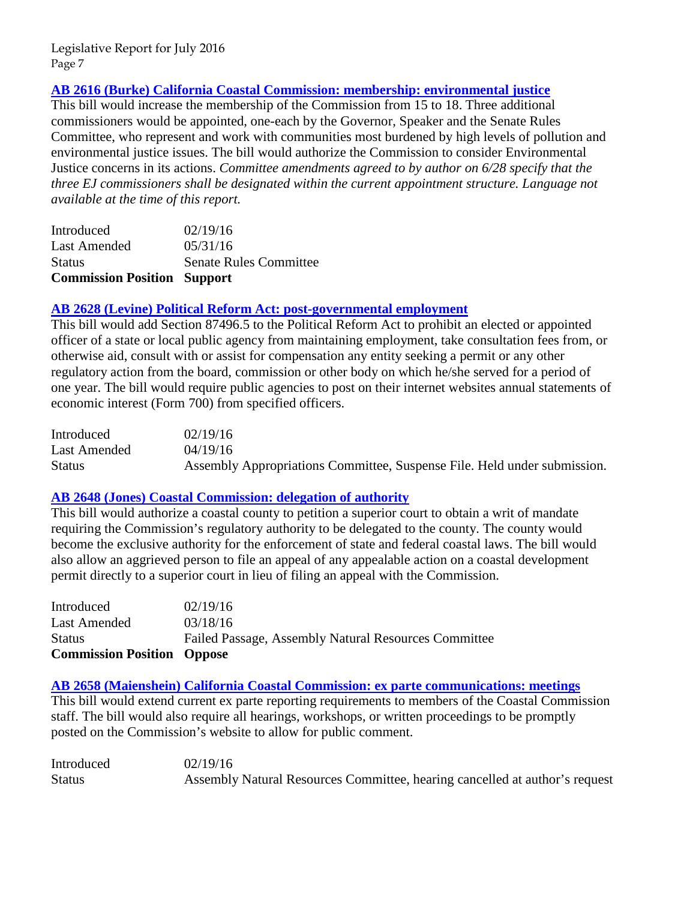# **[AB 2616 \(Burke\) California Coastal Commission: membership: environmental justice](http://www.leginfo.ca.gov/pub/15-16/bill/asm/ab_2601-2650/ab_2616_bill_20160531_amended_asm_v97.htm)**

This bill would increase the membership of the Commission from 15 to 18. Three additional commissioners would be appointed, one-each by the Governor, Speaker and the Senate Rules Committee, who represent and work with communities most burdened by high levels of pollution and environmental justice issues. The bill would authorize the Commission to consider Environmental Justice concerns in its actions. *Committee amendments agreed to by author on 6/28 specify that the three EJ commissioners shall be designated within the current appointment structure. Language not available at the time of this report.* 

| <b>Commission Position Support</b> |                               |
|------------------------------------|-------------------------------|
| <b>Status</b>                      | <b>Senate Rules Committee</b> |
| Last Amended                       | 05/31/16                      |
| Introduced                         | 02/19/16                      |

# **[AB 2628 \(Levine\) Political Reform Act: post-governmental employment](http://www.leginfo.ca.gov/pub/15-16/bill/asm/ab_2601-2650/ab_2628_bill_20160419_amended_asm_v96.htm)**

This bill would add Section 87496.5 to the Political Reform Act to prohibit an elected or appointed officer of a state or local public agency from maintaining employment, take consultation fees from, or otherwise aid, consult with or assist for compensation any entity seeking a permit or any other regulatory action from the board, commission or other body on which he/she served for a period of one year. The bill would require public agencies to post on their internet websites annual statements of economic interest (Form 700) from specified officers.

| Introduced    | 02/19/16                                                                 |
|---------------|--------------------------------------------------------------------------|
| Last Amended  | 04/19/16                                                                 |
| <b>Status</b> | Assembly Appropriations Committee, Suspense File. Held under submission. |

# **[AB 2648 \(Jones\) Coastal Commission: delegation of authority](http://www.leginfo.ca.gov/pub/15-16/bill/asm/ab_2601-2650/ab_2648_bill_20160318_amended_asm_v98.htm)**

This bill would authorize a coastal county to petition a superior court to obtain a writ of mandate requiring the Commission's regulatory authority to be delegated to the county. The county would become the exclusive authority for the enforcement of state and federal coastal laws. The bill would also allow an aggrieved person to file an appeal of any appealable action on a coastal development permit directly to a superior court in lieu of filing an appeal with the Commission.

| Failed Passage, Assembly Natural Resources Committee |
|------------------------------------------------------|
|                                                      |
|                                                      |
|                                                      |

**[AB 2658 \(Maienshein\) California Coastal Commission: ex parte communications: meetings](http://www.leginfo.ca.gov/pub/15-16/bill/asm/ab_2651-2700/ab_2658_bill_20160219_introduced.pdf)** This bill would extend current ex parte reporting requirements to members of the Coastal Commission staff. The bill would also require all hearings, workshops, or written proceedings to be promptly posted on the Commission's website to allow for public comment.

| Introduced    | 02/19/16                                                                    |
|---------------|-----------------------------------------------------------------------------|
| <b>Status</b> | Assembly Natural Resources Committee, hearing cancelled at author's request |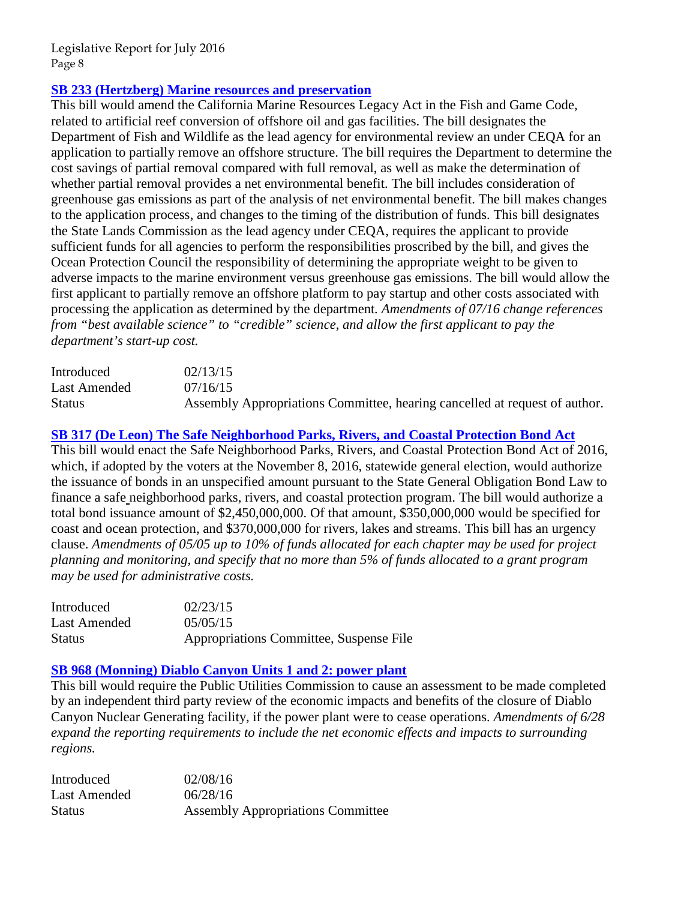# **SB 233 (Hertzberg) [Marine resources and preservation](http://www.leginfo.ca.gov/pub/15-16/bill/sen/sb_0201-0250/sb_233_bill_20150716_amended_asm_v94.htm)**

This bill would amend the California Marine Resources Legacy Act in the Fish and Game Code, related to artificial reef conversion of offshore oil and gas facilities. The bill designates the Department of Fish and Wildlife as the lead agency for environmental review an under CEQA for an application to partially remove an offshore structure. The bill requires the Department to determine the cost savings of partial removal compared with full removal, as well as make the determination of whether partial removal provides a net environmental benefit. The bill includes consideration of greenhouse gas emissions as part of the analysis of net environmental benefit. The bill makes changes to the application process, and changes to the timing of the distribution of funds. This bill designates the State Lands Commission as the lead agency under CEQA, requires the applicant to provide sufficient funds for all agencies to perform the responsibilities proscribed by the bill, and gives the Ocean Protection Council the responsibility of determining the appropriate weight to be given to adverse impacts to the marine environment versus greenhouse gas emissions. The bill would allow the first applicant to partially remove an offshore platform to pay startup and other costs associated with processing the application as determined by the department*. Amendments of 07/16 change references from "best available science" to "credible" science, and allow the first applicant to pay the department's start-up cost.* 

| Introduced    | 02/13/15                                                                   |
|---------------|----------------------------------------------------------------------------|
| Last Amended  | 07/16/15                                                                   |
| <b>Status</b> | Assembly Appropriations Committee, hearing cancelled at request of author. |

# **[SB 317 \(De Leon\) The Safe Neighborhood Parks, Rivers, and Coastal Protection Bond Act](http://www.leginfo.ca.gov/pub/15-16/bill/sen/sb_0301-0350/sb_317_bill_20150505_amended_sen_v96.htm)**

This bill would enact the Safe Neighborhood Parks, Rivers, and Coastal Protection Bond Act of 2016, which, if adopted by the voters at the November 8, 2016, statewide general election, would authorize the issuance of bonds in an unspecified amount pursuant to the State General Obligation Bond Law to finance a safe neighborhood parks, rivers, and coastal protection program. The bill would authorize a total bond issuance amount of \$2,450,000,000. Of that amount, \$350,000,000 would be specified for coast and ocean protection, and \$370,000,000 for rivers, lakes and streams. This bill has an urgency clause. *Amendments of 05/05 up to 10% of funds allocated for each chapter may be used for project planning and monitoring, and specify that no more than 5% of funds allocated to a grant program may be used for administrative costs.* 

| Introduced    | 02/23/15                                |
|---------------|-----------------------------------------|
| Last Amended  | 05/05/15                                |
| <b>Status</b> | Appropriations Committee, Suspense File |

# **[SB 968 \(Monning\) Diablo Canyon Units 1 and 2: power plant](http://www.leginfo.ca.gov/pub/15-16/bill/sen/sb_0951-1000/sb_968_bill_20160628_amended_asm_v95.htm)**

This bill would require the Public Utilities Commission to cause an assessment to be made completed by an independent third party review of the economic impacts and benefits of the closure of Diablo Canyon Nuclear Generating facility, if the power plant were to cease operations. *Amendments of 6/28 expand the reporting requirements to include the net economic effects and impacts to surrounding regions.* 

| Introduced    | 02/08/16                                 |
|---------------|------------------------------------------|
| Last Amended  | 06/28/16                                 |
| <b>Status</b> | <b>Assembly Appropriations Committee</b> |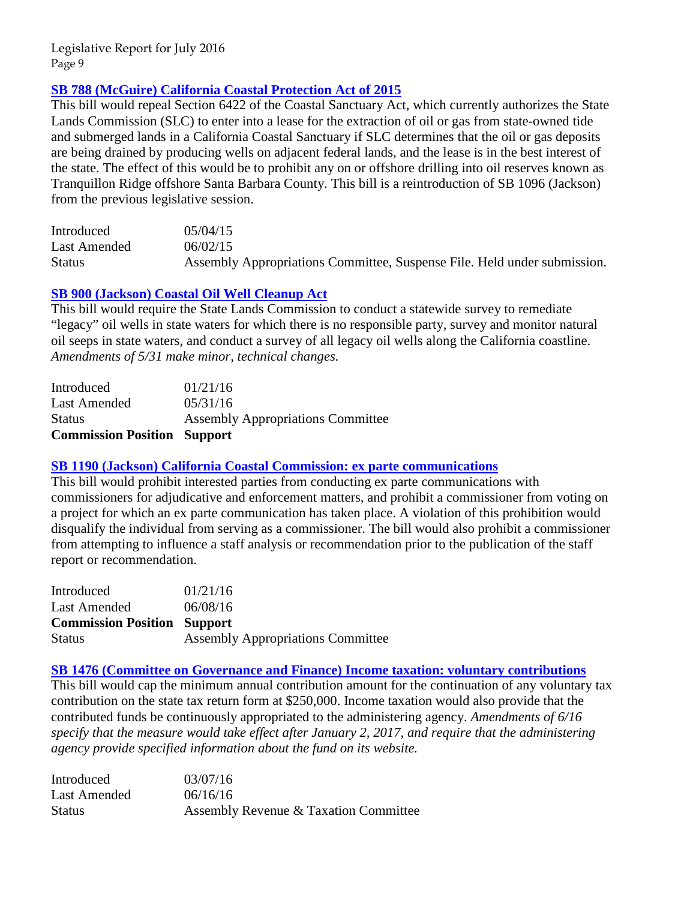# **[SB 788 \(McGuire\) California Coastal Protection Act of 2015](http://www.leginfo.ca.gov/pub/15-16/bill/sen/sb_0751-0800/sb_788_bill_20150602_amended_sen_v97.htm)**

This bill would repeal Section 6422 of the Coastal Sanctuary Act, which currently authorizes the State Lands Commission (SLC) to enter into a lease for the extraction of oil or gas from state-owned tide and submerged lands in a California Coastal Sanctuary if SLC determines that the oil or gas deposits are being drained by producing wells on adjacent federal lands, and the lease is in the best interest of the state. The effect of this would be to prohibit any on or offshore drilling into oil reserves known as Tranquillon Ridge offshore Santa Barbara County. This bill is a reintroduction of SB 1096 (Jackson) from the previous legislative session.

| Introduced    | 05/04/15                                                                 |
|---------------|--------------------------------------------------------------------------|
| Last Amended  | 06/02/15                                                                 |
| <b>Status</b> | Assembly Appropriations Committee, Suspense File. Held under submission. |

# **[SB 900 \(Jackson\) Coastal Oil Well Cleanup Act](http://www.leginfo.ca.gov/pub/15-16/bill/sen/sb_0851-0900/sb_900_bill_20160531_amended_sen_v97.htm)**

This bill would require the State Lands Commission to conduct a statewide survey to remediate "legacy" oil wells in state waters for which there is no responsible party, survey and monitor natural oil seeps in state waters, and conduct a survey of all legacy oil wells along the California coastline. *Amendments of 5/31 make minor, technical changes.* 

| <b>Commission Position Support</b> |                                          |
|------------------------------------|------------------------------------------|
| <b>Status</b>                      | <b>Assembly Appropriations Committee</b> |
| Last Amended                       | 05/31/16                                 |
| Introduced                         | 01/21/16                                 |

# **[SB 1190 \(Jackson\) California Coastal Commission: ex parte communications](http://www.leginfo.ca.gov/pub/15-16/bill/sen/sb_1151-1200/sb_1190_bill_20160608_amended_asm_v95.htm)**

This bill would prohibit interested parties from conducting ex parte communications with commissioners for adjudicative and enforcement matters, and prohibit a commissioner from voting on a project for which an ex parte communication has taken place. A violation of this prohibition would disqualify the individual from serving as a commissioner. The bill would also prohibit a commissioner from attempting to influence a staff analysis or recommendation prior to the publication of the staff report or recommendation.

| Introduced                         | 01/21/16                                 |
|------------------------------------|------------------------------------------|
| <b>Last Amended</b>                | 06/08/16                                 |
| <b>Commission Position Support</b> |                                          |
| <b>Status</b>                      | <b>Assembly Appropriations Committee</b> |

# **[SB 1476 \(Committee on Governance and Finance\) Income taxation: voluntary contributions](http://www.leginfo.ca.gov/pub/15-16/bill/sen/sb_1451-1500/sb_1476_bill_20160616_amended_asm_v97.htm)**

This bill would cap the minimum annual contribution amount for the continuation of any voluntary tax contribution on the state tax return form at \$250,000. Income taxation would also provide that the contributed funds be continuously appropriated to the administering agency. *Amendments of 6/16 specify that the measure would take effect after January 2, 2017, and require that the administering agency provide specified information about the fund on its website.* 

| Introduced    | 03/07/16                              |
|---------------|---------------------------------------|
| Last Amended  | 06/16/16                              |
| <b>Status</b> | Assembly Revenue & Taxation Committee |